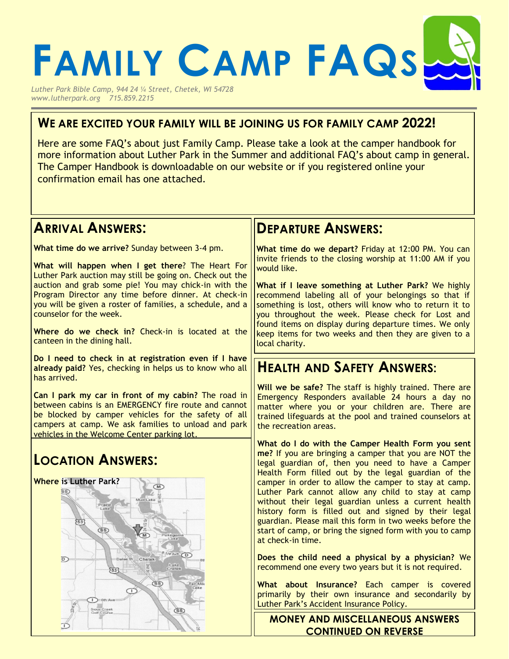

*www.lutherpark.org 715.859.2215*

#### **WE ARE EXCITED YOUR FAMILY WILL BE JOINING US FOR FAMILY CAMP 2022!**

Here are some FAQ's about just Family Camp. Please take a look at the camper handbook for more information about Luther Park in the Summer and additional FAQ's about camp in general. The Camper Handbook is downloadable on our website or if you registered online your confirmation email has one attached.

#### **ARRIVAL ANSWERS:**

**What time do we arrive?** Sunday between 3-4 pm.

**What will happen when I get there**? The Heart For Luther Park auction may still be going on. Check out the auction and grab some pie! You may chick-in with the Program Director any time before dinner. At check-in you will be given a roster of families, a schedule, and a counselor for the week.

**Where do we check in?** Check-in is located at the canteen in the dining hall.

**Do I need to check in at registration even if I have already paid?** Yes, checking in helps us to know who all has arrived.

**Can I park my car in front of my cabin?** The road in between cabins is an EMERGENCY fire route and cannot be blocked by camper vehicles for the safety of all campers at camp. We ask families to unload and park vehicles in the Welcome Center parking lot.

# **LOCATION ANSWERS:**



### **DEPARTURE ANSWERS:**

**What time do we depart?** Friday at 12:00 PM. You can invite friends to the closing worship at 11:00 AM if you would like.

**What if I leave something at Luther Park?** We highly recommend labeling all of your belongings so that if something is lost, others will know who to return it to you throughout the week. Please check for Lost and found items on display during departure times. We only keep items for two weeks and then they are given to a local charity.

#### **HEALTH AND SAFETY ANSWERS:**

**Will we be safe?** The staff is highly trained. There are Emergency Responders available 24 hours a day no matter where you or your children are. There are trained lifeguards at the pool and trained counselors at the recreation areas.

**What do I do with the Camper Health Form you sent me?** If you are bringing a camper that you are NOT the legal guardian of, then you need to have a Camper Health Form filled out by the legal guardian of the camper in order to allow the camper to stay at camp. Luther Park cannot allow any child to stay at camp without their legal guardian unless a current health history form is filled out and signed by their legal guardian. Please mail this form in two weeks before the start of camp, or bring the signed form with you to camp at check-in time.

**Does the child need a physical by a physician?** We recommend one every two years but it is not required.

**What about Insurance?** Each camper is covered primarily by their own insurance and secondarily by Luther Park's Accident Insurance Policy.

**MONEY AND MISCELLANEOUS ANSWERS CONTINUED ON REVERSE**